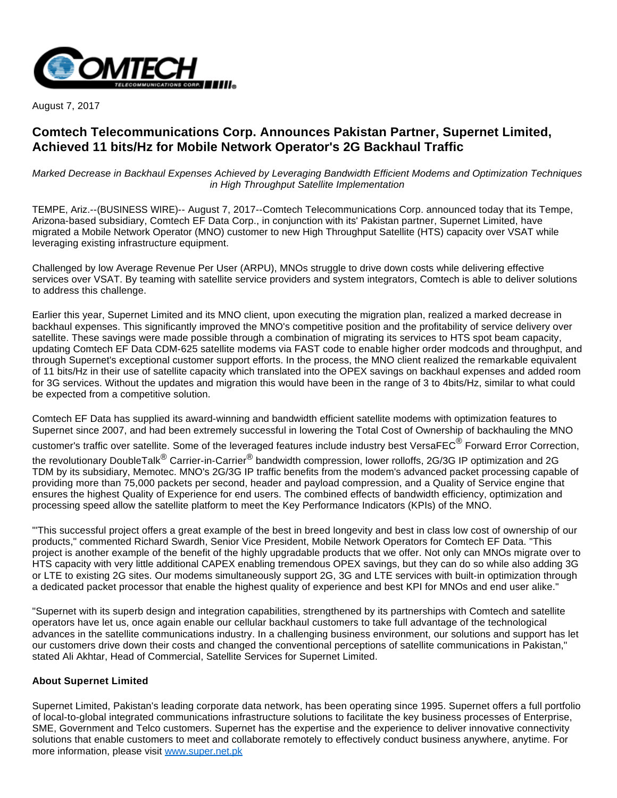

August 7, 2017

# **Comtech Telecommunications Corp. Announces Pakistan Partner, Supernet Limited, Achieved 11 bits/Hz for Mobile Network Operator's 2G Backhaul Traffic**

Marked Decrease in Backhaul Expenses Achieved by Leveraging Bandwidth Efficient Modems and Optimization Techniques in High Throughput Satellite Implementation

TEMPE, Ariz.--(BUSINESS WIRE)-- August 7, 2017--Comtech Telecommunications Corp. announced today that its Tempe, Arizona-based subsidiary, Comtech EF Data Corp., in conjunction with its' Pakistan partner, Supernet Limited, have migrated a Mobile Network Operator (MNO) customer to new High Throughput Satellite (HTS) capacity over VSAT while leveraging existing infrastructure equipment.

Challenged by low Average Revenue Per User (ARPU), MNOs struggle to drive down costs while delivering effective services over VSAT. By teaming with satellite service providers and system integrators, Comtech is able to deliver solutions to address this challenge.

Earlier this year, Supernet Limited and its MNO client, upon executing the migration plan, realized a marked decrease in backhaul expenses. This significantly improved the MNO's competitive position and the profitability of service delivery over satellite. These savings were made possible through a combination of migrating its services to HTS spot beam capacity, updating Comtech EF Data CDM-625 satellite modems via FAST code to enable higher order modcods and throughput, and through Supernet's exceptional customer support efforts. In the process, the MNO client realized the remarkable equivalent of 11 bits/Hz in their use of satellite capacity which translated into the OPEX savings on backhaul expenses and added room for 3G services. Without the updates and migration this would have been in the range of 3 to 4bits/Hz, similar to what could be expected from a competitive solution.

Comtech EF Data has supplied its award-winning and bandwidth efficient satellite modems with optimization features to Supernet since 2007, and had been extremely successful in lowering the Total Cost of Ownership of backhauling the MNO customer's traffic over satellite. Some of the leveraged features include industry best VersaFEC $^\circledR$  Forward Error Correction, the revolutionary DoubleTalk<sup>®</sup> Carrier-in-Carrier® bandwidth compression, lower rolloffs, 2G/3G IP optimization and 2G TDM by its subsidiary, Memotec. MNO's 2G/3G IP traffic benefits from the modem's advanced packet processing capable of providing more than 75,000 packets per second, header and payload compression, and a Quality of Service engine that ensures the highest Quality of Experience for end users. The combined effects of bandwidth efficiency, optimization and processing speed allow the satellite platform to meet the Key Performance Indicators (KPIs) of the MNO.

"'This successful project offers a great example of the best in breed longevity and best in class low cost of ownership of our products," commented Richard Swardh, Senior Vice President, Mobile Network Operators for Comtech EF Data. "This project is another example of the benefit of the highly upgradable products that we offer. Not only can MNOs migrate over to HTS capacity with very little additional CAPEX enabling tremendous OPEX savings, but they can do so while also adding 3G or LTE to existing 2G sites. Our modems simultaneously support 2G, 3G and LTE services with built-in optimization through a dedicated packet processor that enable the highest quality of experience and best KPI for MNOs and end user alike."

"Supernet with its superb design and integration capabilities, strengthened by its partnerships with Comtech and satellite operators have let us, once again enable our cellular backhaul customers to take full advantage of the technological advances in the satellite communications industry. In a challenging business environment, our solutions and support has let our customers drive down their costs and changed the conventional perceptions of satellite communications in Pakistan," stated Ali Akhtar, Head of Commercial, Satellite Services for Supernet Limited.

## **About Supernet Limited**

Supernet Limited, Pakistan's leading corporate data network, has been operating since 1995. Supernet offers a full portfolio of local-to-global integrated communications infrastructure solutions to facilitate the key business processes of Enterprise, SME, Government and Telco customers. Supernet has the expertise and the experience to deliver innovative connectivity solutions that enable customers to meet and collaborate remotely to effectively conduct business anywhere, anytime. For more information, please visit [www.super.net.pk](http://cts.businesswire.com/ct/CT?id=smartlink&url=http%3A%2F%2Fwww.super.net.pk&esheet=51650933&newsitemid=20170807005182&lan=en-US&anchor=www.super.net.pk&index=1&md5=ef2574f683ef99b6096049255a6eb7b8)